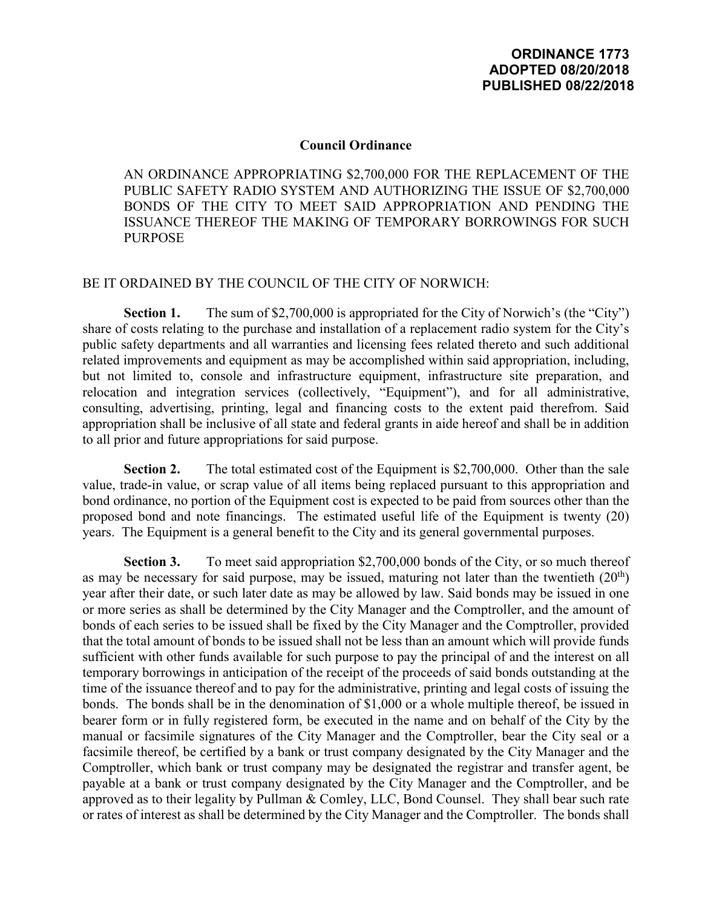## **Council Ordinance**

AN ORDINANCE APPROPRIATING \$2,700,000 FOR THE REPLACEMENT OF THE PUBLIC SAFETY RADIO SYSTEM AND AUTHORIZING THE ISSUE OF \$2,700,000 BONDS OF THE CITY TO MEET SAID APPROPRIATION AND PENDING THE ISSUANCE THEREOF THE MAKING OF TEMPORARY BORROWINGS FOR SUCH PURPOSE

## BE IT ORDAINED BY THE COUNCIL OF THE CITY OF NORWICH:

**Section 1.** The sum of \$2,700,000 is appropriated for the City of Norwich's (the "City") share of costs relating to the purchase and installation of a replacement radio system for the City's public safety departments and all warranties and licensing fees related thereto and such additional related improvements and equipment as may be accomplished within said appropriation, including, but not limited to, console and infrastructure equipment, infrastructure site preparation, and relocation and integration services (collectively, "Equipment"), and for all administrative, consulting, advertising, printing, legal and financing costs to the extent paid therefrom. Said appropriation shall be inclusive of all state and federal grants in aide hereof and shall be in addition to all prior and future appropriations for said purpose.

**Section 2.** The total estimated cost of the Equipment is \$2,700,000. Other than the sale value, trade-in value, or scrap value of all items being replaced pursuant to this appropriation and bond ordinance, no portion of the Equipment cost is expected to be paid from sources other than the proposed bond and note financings. The estimated useful life of the Equipment is twenty (20) years. The Equipment is a general benefit to the City and its general governmental purposes.

**Section 3.** To meet said appropriation \$2,700,000 bonds of the City, or so much thereof as may be necessary for said purpose, may be issued, maturing not later than the twentieth  $(20<sup>th</sup>)$ year after their date, or such later date as may be allowed by law. Said bonds may be issued in one or more series as shall be determined by the City Manager and the Comptroller, and the amount of bonds of each series to be issued shall be fixed by the City Manager and the Comptroller, provided that the total amount of bonds to be issued shall not be less than an amount which will provide funds sufficient with other funds available for such purpose to pay the principal of and the interest on all temporary borrowings in anticipation of the receipt of the proceeds of said bonds outstanding at the time of the issuance thereof and to pay for the administrative, printing and legal costs of issuing the bonds. The bonds shall be in the denomination of \$1,000 or a whole multiple thereof, be issued in bearer form or in fully registered form, be executed in the name and on behalf of the City by the manual or facsimile signatures of the City Manager and the Comptroller, bear the City seal or a facsimile thereof, be certified by a bank or trust company designated by the City Manager and the Comptroller, which bank or trust company may be designated the registrar and transfer agent, be payable at a bank or trust company designated by the City Manager and the Comptroller, and be approved as to their legality by Pullman & Comley, LLC, Bond Counsel. They shall bear such rate or rates of interest as shall be determined by the City Manager and the Comptroller. The bonds shall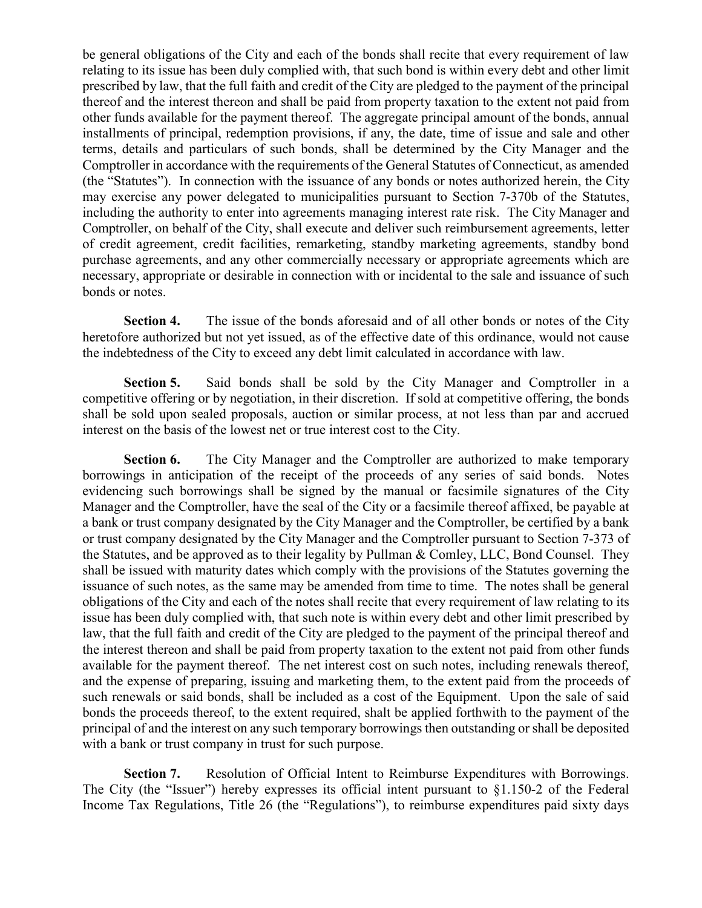be general obligations of the City and each of the bonds shall recite that every requirement of law relating to its issue has been duly complied with, that such bond is within every debt and other limit prescribed by law, that the full faith and credit of the City are pledged to the payment of the principal thereof and the interest thereon and shall be paid from property taxation to the extent not paid from other funds available for the payment thereof. The aggregate principal amount of the bonds, annual installments of principal, redemption provisions, if any, the date, time of issue and sale and other terms, details and particulars of such bonds, shall be determined by the City Manager and the Comptroller in accordance with the requirements of the General Statutes of Connecticut, as amended (the "Statutes"). In connection with the issuance of any bonds or notes authorized herein, the City may exercise any power delegated to municipalities pursuant to Section 7-370b of the Statutes, including the authority to enter into agreements managing interest rate risk. The City Manager and Comptroller, on behalf of the City, shall execute and deliver such reimbursement agreements, letter of credit agreement, credit facilities, remarketing, standby marketing agreements, standby bond purchase agreements, and any other commercially necessary or appropriate agreements which are necessary, appropriate or desirable in connection with or incidental to the sale and issuance of such bonds or notes.

**Section 4.** The issue of the bonds aforesaid and of all other bonds or notes of the City heretofore authorized but not yet issued, as of the effective date of this ordinance, would not cause the indebtedness of the City to exceed any debt limit calculated in accordance with law.

**Section 5.** Said bonds shall be sold by the City Manager and Comptroller in a competitive offering or by negotiation, in their discretion. If sold at competitive offering, the bonds shall be sold upon sealed proposals, auction or similar process, at not less than par and accrued interest on the basis of the lowest net or true interest cost to the City.

**Section 6.** The City Manager and the Comptroller are authorized to make temporary borrowings in anticipation of the receipt of the proceeds of any series of said bonds. Notes evidencing such borrowings shall be signed by the manual or facsimile signatures of the City Manager and the Comptroller, have the seal of the City or a facsimile thereof affixed, be payable at a bank or trust company designated by the City Manager and the Comptroller, be certified by a bank or trust company designated by the City Manager and the Comptroller pursuant to Section 7-373 of the Statutes, and be approved as to their legality by Pullman & Comley, LLC, Bond Counsel. They shall be issued with maturity dates which comply with the provisions of the Statutes governing the issuance of such notes, as the same may be amended from time to time. The notes shall be general obligations of the City and each of the notes shall recite that every requirement of law relating to its issue has been duly complied with, that such note is within every debt and other limit prescribed by law, that the full faith and credit of the City are pledged to the payment of the principal thereof and the interest thereon and shall be paid from property taxation to the extent not paid from other funds available for the payment thereof. The net interest cost on such notes, including renewals thereof, and the expense of preparing, issuing and marketing them, to the extent paid from the proceeds of such renewals or said bonds, shall be included as a cost of the Equipment. Upon the sale of said bonds the proceeds thereof, to the extent required, shalt be applied forthwith to the payment of the principal of and the interest on any such temporary borrowings then outstanding or shall be deposited with a bank or trust company in trust for such purpose.

**Section 7.** Resolution of Official Intent to Reimburse Expenditures with Borrowings. The City (the "Issuer") hereby expresses its official intent pursuant to  $\S1.150-2$  of the Federal Income Tax Regulations, Title 26 (the "Regulations"), to reimburse expenditures paid sixty days